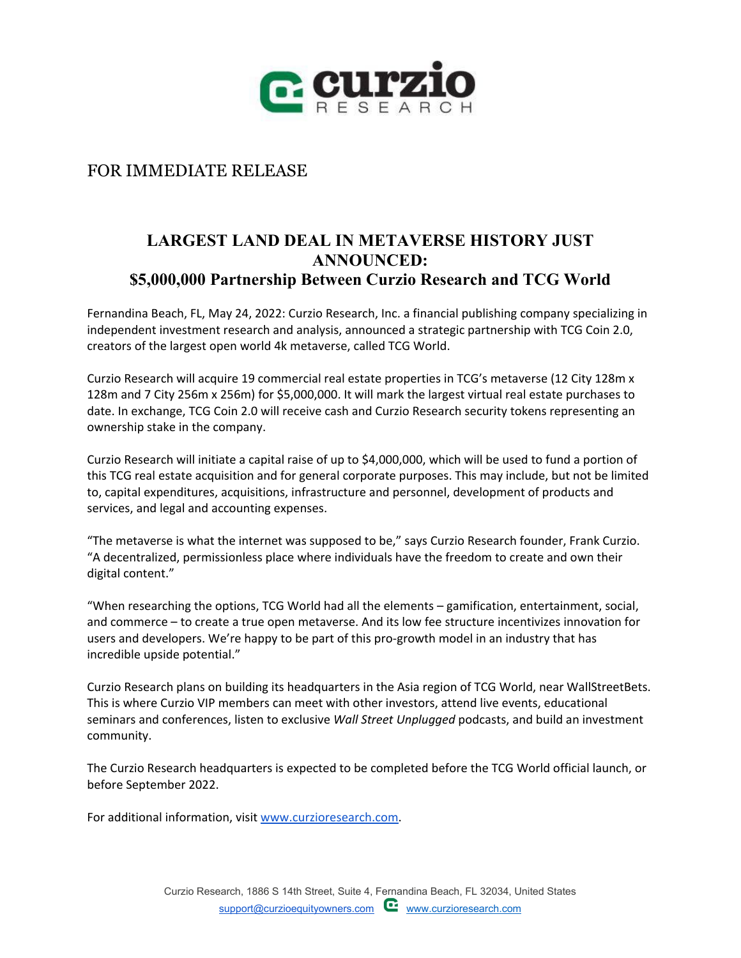

## FOR IMMEDIATE RELEASE

## **LARGEST LAND DEAL IN METAVERSE HISTORY JUST ANNOUNCED: \$5,000,000 Partnership Between Curzio Research and TCG World**

Fernandina Beach, FL, May 24, 2022: Curzio Research, Inc. a financial publishing company specializing in independent investment research and analysis, announced a strategic partnership with TCG Coin 2.0, creators of the largest open world 4k metaverse, called TCG World.

Curzio Research will acquire 19 commercial real estate properties in TCG's metaverse (12 City 128m x 128m and 7 City 256m x 256m) for \$5,000,000. It will mark the largest virtual real estate purchases to date. In exchange, TCG Coin 2.0 will receive cash and Curzio Research security tokens representing an ownership stake in the company.

Curzio Research will initiate a capital raise of up to \$4,000,000, which will be used to fund a portion of this TCG real estate acquisition and for general corporate purposes. This may include, but not be limited to, capital expenditures, acquisitions, infrastructure and personnel, development of products and services, and legal and accounting expenses.

"The metaverse is what the internet was supposed to be," says Curzio Research founder, Frank Curzio. "A decentralized, permissionless place where individuals have the freedom to create and own their digital content."

"When researching the options, TCG World had all the elements – gamification, entertainment, social, and commerce – to create a true open metaverse. And its low fee structure incentivizes innovation for users and developers. We're happy to be part of this pro-growth model in an industry that has incredible upside potential."

Curzio Research plans on building its headquarters in the Asia region of TCG World, near WallStreetBets. This is where Curzio VIP members can meet with other investors, attend live events, educational seminars and conferences, listen to exclusive *Wall Street Unplugged* podcasts, and build an investment community.

The Curzio Research headquarters is expected to be completed before the TCG World official launch, or before September 2022.

For additional information, visit [www.curzioresearch.com.](http://www.curzioresearch.com/)